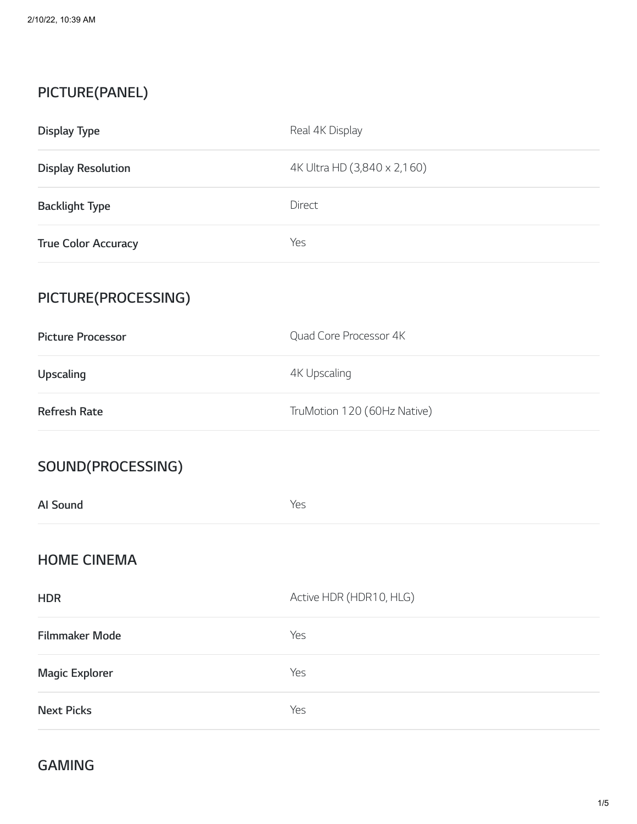# **PICTURE(PANEL)**

| <b>Display Type</b>        | Real 4K Display             |
|----------------------------|-----------------------------|
| <b>Display Resolution</b>  | 4K Ultra HD (3,840 x 2,160) |
| <b>Backlight Type</b>      | Direct                      |
| <b>True Color Accuracy</b> | Yes                         |
| PICTURE(PROCESSING)        |                             |
| <b>Picture Processor</b>   | Quad Core Processor 4K      |
| Upscaling                  | <b>4K Upscaling</b>         |
| <b>Refresh Rate</b>        | TruMotion 120 (60Hz Native) |
| SOUND(PROCESSING)          |                             |
| Al Sound                   | Yes                         |
| <b>HOME CINEMA</b>         |                             |
| <b>HDR</b>                 | Active HDR (HDR10, HLG)     |
| <b>Filmmaker Mode</b>      | Yes                         |
| <b>Magic Explorer</b>      | Yes                         |
| <b>Next Picks</b>          | Yes                         |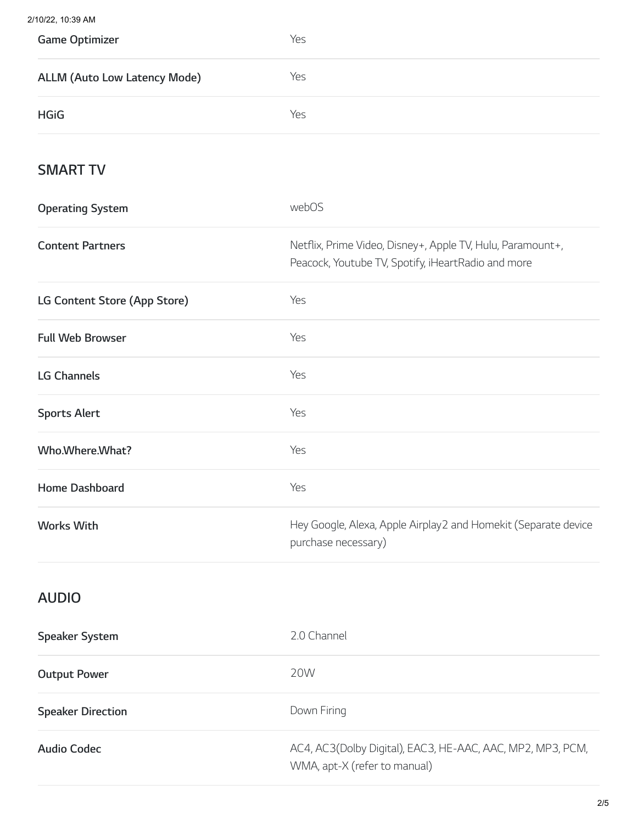$2/1$ 

| 10/22, 10:39 AM                     |                                                                                                                  |
|-------------------------------------|------------------------------------------------------------------------------------------------------------------|
| <b>Game Optimizer</b>               | Yes                                                                                                              |
| <b>ALLM (Auto Low Latency Mode)</b> | Yes                                                                                                              |
| <b>HGiG</b>                         | Yes                                                                                                              |
| <b>SMART TV</b>                     |                                                                                                                  |
| <b>Operating System</b>             | webOS                                                                                                            |
| <b>Content Partners</b>             | Netflix, Prime Video, Disney+, Apple TV, Hulu, Paramount+,<br>Peacock, Youtube TV, Spotify, iHeartRadio and more |
| LG Content Store (App Store)        | Yes                                                                                                              |
| <b>Full Web Browser</b>             | Yes                                                                                                              |
| <b>LG Channels</b>                  | Yes                                                                                                              |
| <b>Sports Alert</b>                 | Yes                                                                                                              |
| Who.Where.What?                     | Yes                                                                                                              |
| Home Dashboard                      | Yes                                                                                                              |
| <b>Works With</b>                   | Hey Google, Alexa, Apple Airplay2 and Homekit (Separate device<br>purchase necessary)                            |
|                                     |                                                                                                                  |

## **AUDIO**

| <b>Speaker System</b>    | 2.0 Channel                                                                                |
|--------------------------|--------------------------------------------------------------------------------------------|
| <b>Output Power</b>      | 20W                                                                                        |
| <b>Speaker Direction</b> | Down Firing                                                                                |
| Audio Codec              | AC4, AC3(Dolby Digital), EAC3, HE-AAC, AAC, MP2, MP3, PCM,<br>WMA, apt-X (refer to manual) |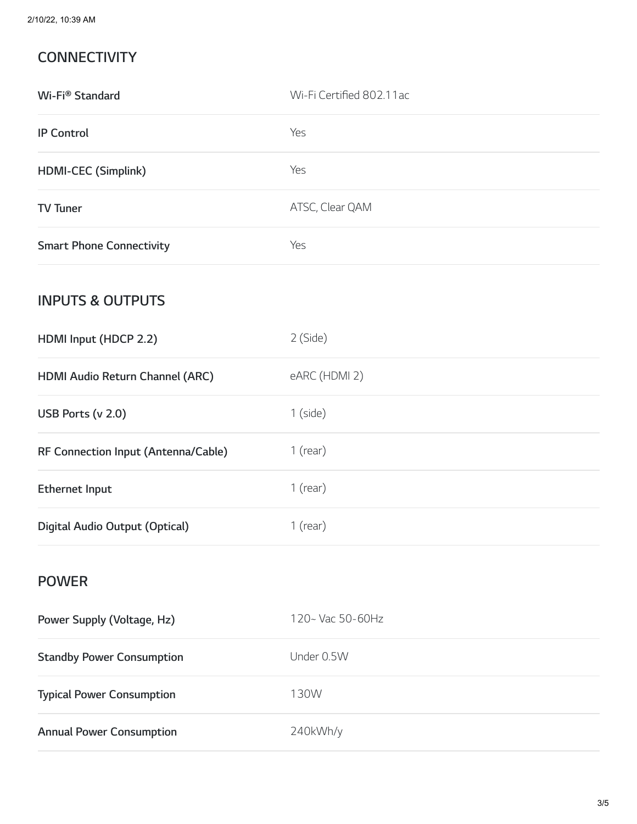## **CONNECTIVITY**

| Wi-Fi® Standard                     | Wi-Fi Certified 802.11ac |
|-------------------------------------|--------------------------|
| <b>IP Control</b>                   | Yes                      |
| HDMI-CEC (Simplink)                 | Yes                      |
| <b>TV Tuner</b>                     | ATSC, Clear QAM          |
| <b>Smart Phone Connectivity</b>     | Yes                      |
| <b>INPUTS &amp; OUTPUTS</b>         |                          |
| HDMI Input (HDCP 2.2)               | 2 (Side)                 |
| HDMI Audio Return Channel (ARC)     | eARC (HDMI 2)            |
| USB Ports (v 2.0)                   | $1$ (side)               |
| RF Connection Input (Antenna/Cable) | $1$ (rear)               |
| <b>Ethernet Input</b>               | $1$ (rear)               |
| Digital Audio Output (Optical)      | $1$ (rear)               |
| <b>POWER</b>                        |                          |
| Power Supply (Voltage, Hz)          | 120~ Vac 50-60Hz         |
| <b>Standby Power Consumption</b>    | Under 0.5W               |
| <b>Typical Power Consumption</b>    | 130W                     |
| <b>Annual Power Consumption</b>     | 240kWh/y                 |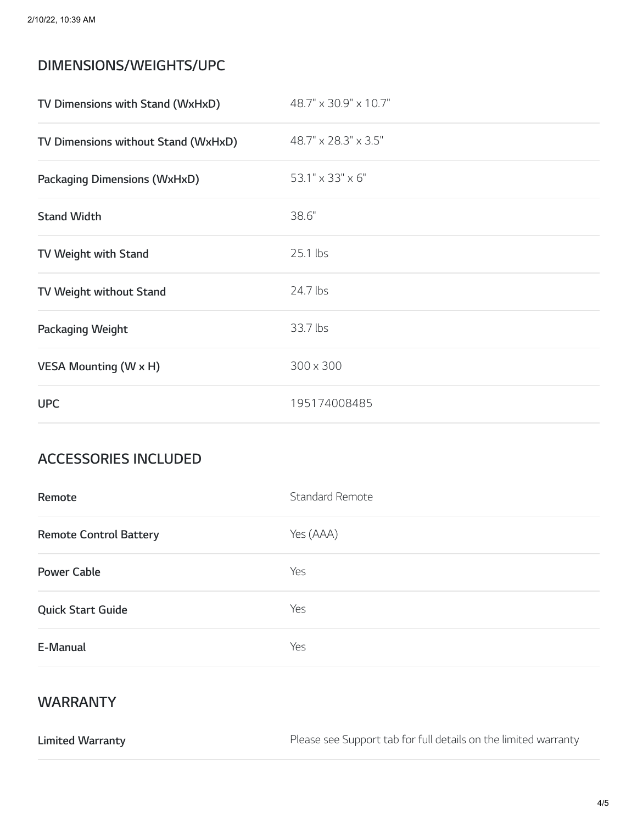#### **DIMENSIONS/WEIGHTS/UPC**

| TV Dimensions with Stand (WxHxD)    | 48.7" x 30.9" x 10.7" |
|-------------------------------------|-----------------------|
| TV Dimensions without Stand (WxHxD) | 48.7" x 28.3" x 3.5"  |
| <b>Packaging Dimensions (WxHxD)</b> | 53.1" x 33" x 6"      |
| <b>Stand Width</b>                  | 38.6"                 |
| TV Weight with Stand                | 25.1 lbs              |
| TV Weight without Stand             | 24.7 lbs              |
| Packaging Weight                    | 33.7 lbs              |
| <b>VESA Mounting (W x H)</b>        | 300 x 300             |
| <b>UPC</b>                          | 195174008485          |

#### **ACCESSORIES INCLUDED**

| Remote                        | <b>Standard Remote</b> |
|-------------------------------|------------------------|
| <b>Remote Control Battery</b> | Yes (AAA)              |
| <b>Power Cable</b>            | Yes                    |
| <b>Quick Start Guide</b>      | Yes                    |
| E-Manual                      | Yes                    |

#### **WARRANTY**

**Limited Warranty** Please see Support tab for full details on the limited warranty